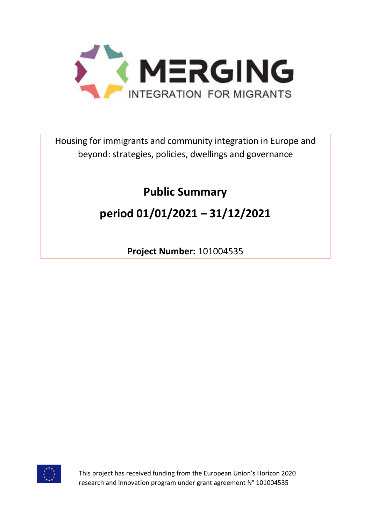

Housing for immigrants and community integration in Europe and beyond: strategies, policies, dwellings and governance

# **Public Summary**

# **period 01/01/2021 – 31/12/2021**

**Project Number:** 101004535



This project has received funding from the European Union's Horizon 2020 research and innovation program under grant agreement N° 101004535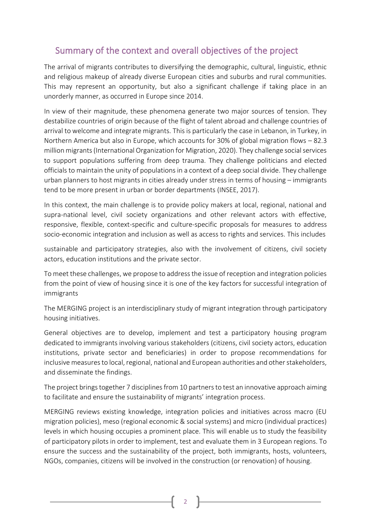## Summary of the context and overall objectives of the project

The arrival of migrants contributes to diversifying the demographic, cultural, linguistic, ethnic and religious makeup of already diverse European cities and suburbs and rural communities. This may represent an opportunity, but also a significant challenge if taking place in an unorderly manner, as occurred in Europe since 2014.

In view of their magnitude, these phenomena generate two major sources of tension. They destabilize countries of origin because of the flight of talent abroad and challenge countries of arrival to welcome and integrate migrants. This is particularly the case in Lebanon, in Turkey, in Northern America but also in Europe, which accounts for 30% of global migration flows – 82.3 million migrants (International Organization for Migration, 2020). They challenge social services to support populations suffering from deep trauma. They challenge politicians and elected officials to maintain the unity of populations in a context of a deep social divide. They challenge urban planners to host migrants in cities already under stress in terms of housing – immigrants tend to be more present in urban or border departments (INSEE, 2017).

In this context, the main challenge is to provide policy makers at local, regional, national and supra-national level, civil society organizations and other relevant actors with effective, responsive, flexible, context-specific and culture-specific proposals for measures to address socio-economic integration and inclusion as well as access to rights and services. This includes

sustainable and participatory strategies, also with the involvement of citizens, civil society actors, education institutions and the private sector.

To meet these challenges, we propose to address the issue of reception and integration policies from the point of view of housing since it is one of the key factors for successful integration of immigrants

The MERGING project is an interdisciplinary study of migrant integration through participatory housing initiatives.

General objectives are to develop, implement and test a participatory housing program dedicated to immigrants involving various stakeholders (citizens, civil society actors, education institutions, private sector and beneficiaries) in order to propose recommendations for inclusive measures to local, regional, national and European authorities and other stakeholders, and disseminate the findings.

The project brings together 7 disciplines from 10 partners to test an innovative approach aiming to facilitate and ensure the sustainability of migrants' integration process.

MERGING reviews existing knowledge, integration policies and initiatives across macro (EU migration policies), meso (regional economic & social systems) and micro (individual practices) levels in which housing occupies a prominent place. This will enable us to study the feasibility of participatory pilots in order to implement, test and evaluate them in 3 European regions. To ensure the success and the sustainability of the project, both immigrants, hosts, volunteers, NGOs, companies, citizens will be involved in the construction (or renovation) of housing.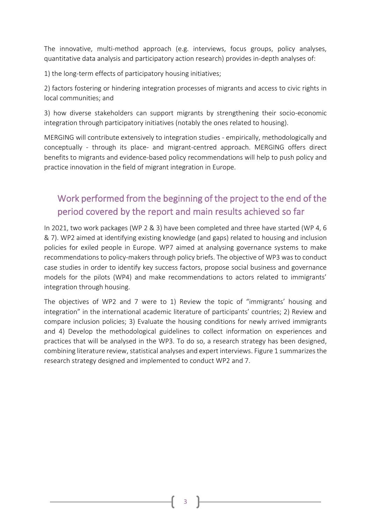The innovative, multi-method approach (e.g. interviews, focus groups, policy analyses, quantitative data analysis and participatory action research) provides in-depth analyses of:

1) the long-term effects of participatory housing initiatives;

2) factors fostering or hindering integration processes of migrants and access to civic rights in local communities; and

3) how diverse stakeholders can support migrants by strengthening their socio-economic integration through participatory initiatives (notably the ones related to housing).

MERGING will contribute extensively to integration studies - empirically, methodologically and conceptually - through its place- and migrant-centred approach. MERGING offers direct benefits to migrants and evidence-based policy recommendations will help to push policy and practice innovation in the field of migrant integration in Europe.

# Work performed from the beginning of the project to the end of the period covered by the report and main results achieved so far

In 2021, two work packages (WP 2 & 3) have been completed and three have started (WP 4, 6 & 7). WP2 aimed at identifying existing knowledge (and gaps) related to housing and inclusion policies for exiled people in Europe. WP7 aimed at analysing governance systems to make recommendations to policy-makers through policy briefs. The objective of WP3 was to conduct case studies in order to identify key success factors, propose social business and governance models for the pilots (WP4) and make recommendations to actors related to immigrants' integration through housing.

The objectives of WP2 and 7 were to 1) Review the topic of "immigrants' housing and integration" in the international academic literature of participants' countries; 2) Review and compare inclusion policies; 3) Evaluate the housing conditions for newly arrived immigrants and 4) Develop the methodological guidelines to collect information on experiences and practices that will be analysed in the WP3. To do so, a research strategy has been designed, combining literature review, statistical analyses and expert interviews. Figure 1 summarizes the research strategy designed and implemented to conduct WP2 and 7.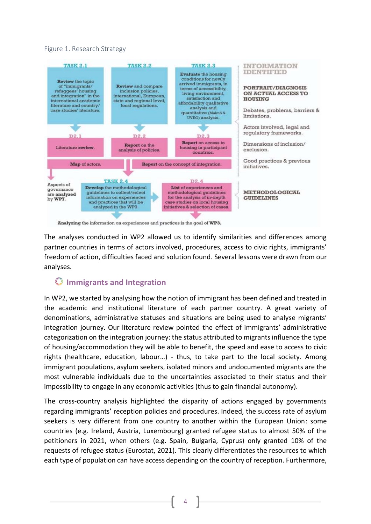#### Figure 1. Research Strategy



Analyzing the information on experiences and practices is the goal of WP3.

The analyses conducted in WP2 allowed us to identify similarities and differences among partner countries in terms of actors involved, procedures, access to civic rights, immigrants' freedom of action, difficulties faced and solution found. Several lessons were drawn from our analyses.

## **Immigrants and Integration**

In WP2, we started by analysing how the notion of immigrant has been defined and treated in the academic and institutional literature of each partner country. A great variety of denominations, administrative statuses and situations are being used to analyse migrants' integration journey. Our literature review pointed the effect of immigrants' administrative categorization on the integration journey: the status attributed to migrants influence the type of housing/accommodation they will be able to benefit, the speed and ease to access to civic rights (healthcare, education, labour…) - thus, to take part to the local society. Among immigrant populations, asylum seekers, isolated minors and undocumented migrants are the most vulnerable individuals due to the uncertainties associated to their status and their impossibility to engage in any economic activities (thus to gain financial autonomy).

The cross-country analysis highlighted the disparity of actions engaged by governments regarding immigrants' reception policies and procedures. Indeed, the success rate of asylum seekers is very different from one country to another within the European Union: some countries (e.g. Ireland, Austria, Luxembourg) granted refugee status to almost 50% of the petitioners in 2021, when others (e.g. Spain, Bulgaria, Cyprus) only granted 10% of the requests of refugee status (Eurostat, 2021). This clearly differentiates the resources to which each type of population can have access depending on the country of reception. Furthermore,

4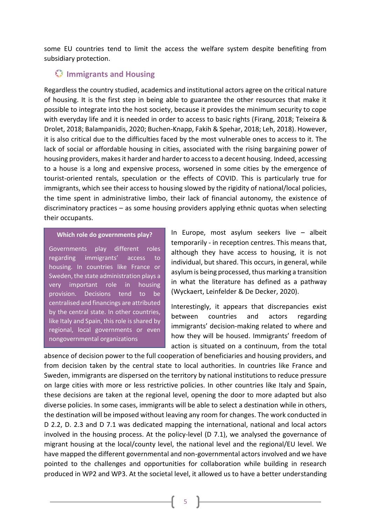some EU countries tend to limit the access the welfare system despite benefiting from subsidiary protection.

### **Immigrants and Housing**

Regardless the country studied, academics and institutional actors agree on the critical nature of housing. It is the first step in being able to guarantee the other resources that make it possible to integrate into the host society, because it provides the minimum security to cope with everyday life and it is needed in order to access to basic rights (Firang, 2018; Teixeira & Drolet, 2018; Balampanidis, 2020; Buchen-Knapp, Fakih & Spehar, 2018; Leh, 2018). However, it is also critical due to the difficulties faced by the most vulnerable ones to access to it. The lack of social or affordable housing in cities, associated with the rising bargaining power of housing providers, makes it harder and harder to access to a decent housing. Indeed, accessing to a house is a long and expensive process, worsened in some cities by the emergence of tourist-oriented rentals, speculation or the effects of COVID. This is particularly true for immigrants, which see their access to housing slowed by the rigidity of national/local policies, the time spent in administrative limbo, their lack of financial autonomy, the existence of discriminatory practices – as some housing providers applying ethnic quotas when selecting their occupants.

#### **Which role do governments play?**

Governments play different roles regarding immigrants' access to housing. In countries like France or Sweden, the state administration plays a very important role in housing provision. Decisions tend to be centralised and financings are attributed by the central state. In other countries, like Italy and Spain, this role is shared by regional, local governments or even nongovernmental organizations

In Europe, most asylum seekers live – albeit temporarily - in reception centres. This means that, although they have access to housing, it is not individual, but shared. This occurs, in general, while asylum is being processed, thus marking a transition in what the literature has defined as a pathway (Wyckaert, Leinfelder & De Decker, 2020).

Interestingly, it appears that discrepancies exist between countries and actors regarding immigrants' decision-making related to where and how they will be housed. Immigrants' freedom of action is situated on a continuum, from the total

absence of decision power to the full cooperation of beneficiaries and housing providers, and from decision taken by the central state to local authorities. In countries like France and Sweden, immigrants are dispersed on the territory by national institutions to reduce pressure on large cities with more or less restrictive policies. In other countries like Italy and Spain, these decisions are taken at the regional level, opening the door to more adapted but also diverse policies. In some cases, immigrants will be able to select a destination while in others, the destination will be imposed without leaving any room for changes. The work conducted in D 2.2, D. 2.3 and D 7.1 was dedicated mapping the international, national and local actors involved in the housing process. At the policy-level (D 7.1), we analysed the governance of migrant housing at the local/county level, the national level and the regional/EU level. We have mapped the different governmental and non-governmental actors involved and we have pointed to the challenges and opportunities for collaboration while building in research produced in WP2 and WP3. At the societal level, it allowed us to have a better understanding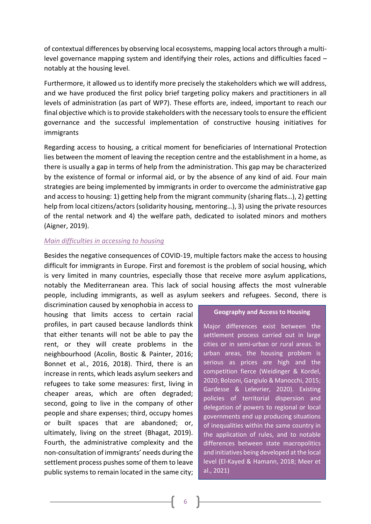of contextual differences by observing local ecosystems, mapping local actors through a multilevel governance mapping system and identifying their roles, actions and difficulties faced – notably at the housing level.

Furthermore, it allowed us to identify more precisely the stakeholders which we will address, and we have produced the first policy brief targeting policy makers and practitioners in all levels of administration (as part of WP7). These efforts are, indeed, important to reach our final objective which is to provide stakeholders with the necessary tools to ensure the efficient governance and the successful implementation of constructive housing initiatives for immigrants

Regarding access to housing, a critical moment for beneficiaries of International Protection lies between the moment of leaving the reception centre and the establishment in a home, as there is usually a gap in terms of help from the administration. This gap may be characterized by the existence of formal or informal aid, or by the absence of any kind of aid. Four main strategies are being implemented by immigrants in order to overcome the administrative gap and access to housing: 1) getting help from the migrant community (sharing flats…), 2) getting help from local citizens/actors (solidarity housing, mentoring…), 3) using the private resources of the rental network and 4) the welfare path, dedicated to isolated minors and mothers (Aigner, 2019).

#### *Main difficulties in accessing to housing*

Besides the negative consequences of COVID-19, multiple factors make the access to housing difficult for immigrants in Europe. First and foremost is the problem of social housing, which is very limited in many countries, especially those that receive more asylum applications, notably the Mediterranean area. This lack of social housing affects the most vulnerable people, including immigrants, as well as asylum seekers and refugees. Second, there is

discrimination caused by xenophobia in access to housing that limits access to certain racial profiles, in part caused because landlords think that either tenants will not be able to pay the rent, or they will create problems in the neighbourhood (Acolin, Bostic & Painter, 2016; Bonnet et al., 2016, 2018). Third, there is an increase in rents, which leads asylum seekers and refugees to take some measures: first, living in cheaper areas, which are often degraded; second, going to live in the company of other people and share expenses; third, occupy homes or built spaces that are abandoned; or, ultimately, living on the street (Bhagat, 2019). Fourth, the administrative complexity and the non-consultation of immigrants' needs during the settlement process pushes some of them to leave public systems to remain located in the same city;

#### **Geography and Access to Housing**

Major differences exist between the settlement process carried out in large cities or in semi-urban or rural areas. In urban areas, the housing problem is serious as prices are high and the competition fierce (Weidinger & Kordel, 2020; Bolzoni, Gargiulo & Manocchi, 2015; Gardesse & Lelevrier, 2020). Existing policies of territorial dispersion and delegation of powers to regional or local governments end up producing situations of inequalities within the same country in the application of rules, and to notable differences between state macropolitics and initiatives being developed at the local level (El-Kayed & Hamann, 2018; Meer et al., 2021)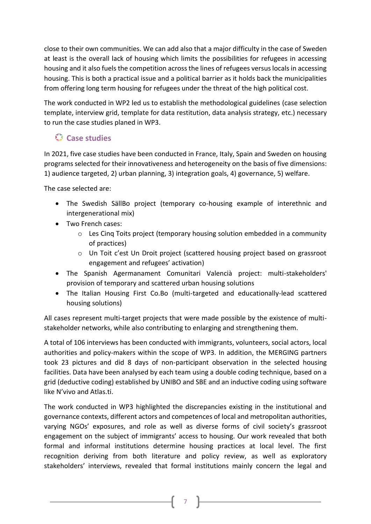close to their own communities. We can add also that a major difficulty in the case of Sweden at least is the overall lack of housing which limits the possibilities for refugees in accessing housing and it also fuels the competition across the lines of refugees versus locals in accessing housing. This is both a practical issue and a political barrier as it holds back the municipalities from offering long term housing for refugees under the threat of the high political cost.

The work conducted in WP2 led us to establish the methodological guidelines (case selection template, interview grid, template for data restitution, data analysis strategy, etc.) necessary to run the case studies planed in WP3.

## **Case studies**

In 2021, five case studies have been conducted in France, Italy, Spain and Sweden on housing programs selected for their innovativeness and heterogeneity on the basis of five dimensions: 1) audience targeted, 2) urban planning, 3) integration goals, 4) governance, 5) welfare.

The case selected are:

- The Swedish SällBo project (temporary co-housing example of interethnic and intergenerational mix)
- Two French cases:
	- o Les Cinq Toits project (temporary housing solution embedded in a community of practices)
	- o Un Toit c'est Un Droit project (scattered housing project based on grassroot engagement and refugees' activation)
- The Spanish Agermanament Comunitari Valencià project: multi-stakeholders' provision of temporary and scattered urban housing solutions
- The Italian Housing First Co.Bo (multi-targeted and educationally-lead scattered housing solutions)

All cases represent multi-target projects that were made possible by the existence of multistakeholder networks, while also contributing to enlarging and strengthening them.

A total of 106 interviews has been conducted with immigrants, volunteers, social actors, local authorities and policy-makers within the scope of WP3. In addition, the MERGING partners took 23 pictures and did 8 days of non-participant observation in the selected housing facilities. Data have been analysed by each team using a double coding technique, based on a grid (deductive coding) established by UNIBO and SBE and an inductive coding using software like N'vivo and Atlas.ti.

The work conducted in WP3 highlighted the discrepancies existing in the institutional and governance contexts, different actors and competences of local and metropolitan authorities, varying NGOs' exposures, and role as well as diverse forms of civil society's grassroot engagement on the subject of immigrants' access to housing. Our work revealed that both formal and informal institutions determine housing practices at local level. The first recognition deriving from both literature and policy review, as well as exploratory stakeholders' interviews, revealed that formal institutions mainly concern the legal and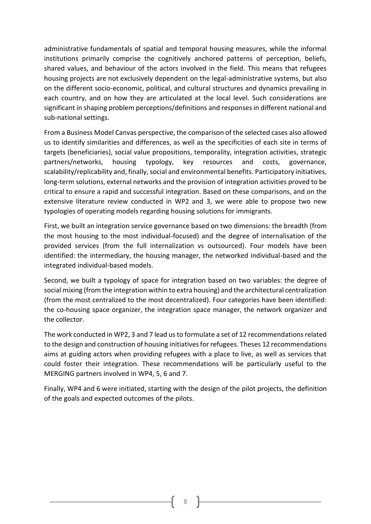administrative fundamentals of spatial and temporal housing measures, while the informal institutions primarily comprise the cognitively anchored patterns of perception, beliefs, shared values, and behaviour of the actors involved in the field. This means that refugees housing projects are not exclusively dependent on the legal-administrative systems, but also on the different socio-economic, political, and cultural structures and dynamics prevailing in each country, and on how they are articulated at the local level. Such considerations are significant in shaping problem perceptions/definitions and responses in different national and sub-national settings.

From a Business Model Canvas perspective, the comparison of the selected cases also allowed us to identify similarities and differences, as well as the specificities of each site in terms of targets (beneficiaries), social value propositions, temporality, integration activities, strategic partners/networks, housing typology, key resources and costs, governance, scalability/replicability and, finally, social and environmental benefits. Participatory initiatives, long-term solutions, external networks and the provision of integration activities proved to be critical to ensure a rapid and successful integration. Based on these comparisons, and on the extensive literature review conducted in WP2 and 3, we were able to propose two new typologies of operating models regarding housing solutions for immigrants.

First, we built an integration service governance based on two dimensions: the breadth (from the most housing to the most individual-focused) and the degree of internalisation of the provided services (from the full internalization vs outsourced). Four models have been identified: the intermediary, the housing manager, the networked individual-based and the integrated individual-based models.

Second, we built a typology of space for integration based on two variables: the degree of social mixing (from the integration within to extra housing) and the architectural centralization (from the most centralized to the most decentralized). Four categories have been identified: the co-housing space organizer, the integration space manager, the network organizer and the collector.

The work conducted in WP2, 3 and 7 lead us to formulate a set of 12 recommendations related to the design and construction of housing initiatives for refugees. Theses 12 recommendations aims at guiding actors when providing refugees with a place to live, as well as services that could foster their integration. These recommendations will be particularly useful to the MERGING partners involved in WP4, 5, 6 and 7.

Finally, WP4 and 6 were initiated, starting with the design of the pilot projects, the definition of the goals and expected outcomes of the pilots.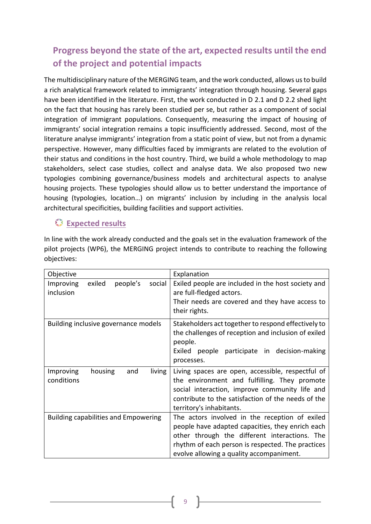# **Progress beyond the state of the art, expected results until the end of the project and potential impacts**

The multidisciplinary nature of the MERGING team, and the work conducted, allows us to build a rich analytical framework related to immigrants' integration through housing. Several gaps have been identified in the literature. First, the work conducted in D 2.1 and D 2.2 shed light on the fact that housing has rarely been studied per se, but rather as a component of social integration of immigrant populations. Consequently, measuring the impact of housing of immigrants' social integration remains a topic insufficiently addressed. Second, most of the literature analyse immigrants' integration from a static point of view, but not from a dynamic perspective. However, many difficulties faced by immigrants are related to the evolution of their status and conditions in the host country. Third, we build a whole methodology to map stakeholders, select case studies, collect and analyse data. We also proposed two new typologies combining governance/business models and architectural aspects to analyse housing projects. These typologies should allow us to better understand the importance of housing (typologies, location…) on migrants' inclusion by including in the analysis local architectural specificities, building facilities and support activities.

### **Expected results**

In line with the work already conducted and the goals set in the evaluation framework of the pilot projects (WP6), the MERGING project intends to contribute to reaching the following objectives:

| Objective                                                     | Explanation                                                                                                                                                                                                                                          |
|---------------------------------------------------------------|------------------------------------------------------------------------------------------------------------------------------------------------------------------------------------------------------------------------------------------------------|
| exiled<br>people's<br>social<br><b>Improving</b><br>inclusion | Exiled people are included in the host society and<br>are full-fledged actors.<br>Their needs are covered and they have access to<br>their rights.                                                                                                   |
| Building inclusive governance models                          | Stakeholders act together to respond effectively to<br>the challenges of reception and inclusion of exiled<br>people.<br>Exiled people participate in decision-making<br>processes.                                                                  |
| housing<br>Improving<br>and<br>living<br>conditions           | Living spaces are open, accessible, respectful of<br>the environment and fulfilling. They promote<br>social interaction, improve community life and<br>contribute to the satisfaction of the needs of the<br>territory's inhabitants.                |
| <b>Building capabilities and Empowering</b>                   | The actors involved in the reception of exiled<br>people have adapted capacities, they enrich each<br>other through the different interactions. The<br>rhythm of each person is respected. The practices<br>evolve allowing a quality accompaniment. |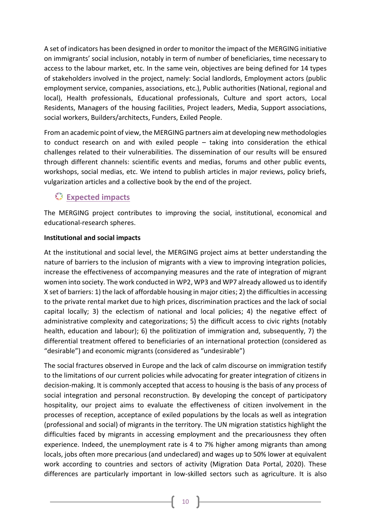A set of indicators has been designed in order to monitor the impact of the MERGING initiative on immigrants' social inclusion, notably in term of number of beneficiaries, time necessary to access to the labour market, etc. In the same vein, objectives are being defined for 14 types of stakeholders involved in the project, namely: Social landlords, Employment actors (public employment service, companies, associations, etc.), Public authorities (National, regional and local), Health professionals, Educational professionals, Culture and sport actors, Local Residents, Managers of the housing facilities, Project leaders, Media, Support associations, social workers, Builders/architects, Funders, Exiled People.

From an academic point of view, the MERGING partners aim at developing new methodologies to conduct research on and with exiled people – taking into consideration the ethical challenges related to their vulnerabilities. The dissemination of our results will be ensured through different channels: scientific events and medias, forums and other public events, workshops, social medias, etc. We intend to publish articles in major reviews, policy briefs, vulgarization articles and a collective book by the end of the project.

## **Expected impacts**

The MERGING project contributes to improving the social, institutional, economical and educational-research spheres.

### **Institutional and social impacts**

At the institutional and social level, the MERGING project aims at better understanding the nature of barriers to the inclusion of migrants with a view to improving integration policies, increase the effectiveness of accompanying measures and the rate of integration of migrant women into society. The work conducted in WP2, WP3 and WP7 already allowed us to identify X set of barriers: 1) the lack of affordable housing in major cities; 2) the difficulties in accessing to the private rental market due to high prices, discrimination practices and the lack of social capital locally; 3) the eclectism of national and local policies; 4) the negative effect of administrative complexity and categorizations; 5) the difficult access to civic rights (notably health, education and labour); 6) the politization of immigration and, subsequently, 7) the differential treatment offered to beneficiaries of an international protection (considered as "desirable") and economic migrants (considered as "undesirable")

The social fractures observed in Europe and the lack of calm discourse on immigration testify to the limitations of our current policies while advocating for greater integration of citizens in decision-making. It is commonly accepted that access to housing is the basis of any process of social integration and personal reconstruction. By developing the concept of participatory hospitality, our project aims to evaluate the effectiveness of citizen involvement in the processes of reception, acceptance of exiled populations by the locals as well as integration (professional and social) of migrants in the territory. The UN migration statistics highlight the difficulties faced by migrants in accessing employment and the precariousness they often experience. Indeed, the unemployment rate is 4 to 7% higher among migrants than among locals, jobs often more precarious (and undeclared) and wages up to 50% lower at equivalent work according to countries and sectors of activity (Migration Data Portal, 2020). These differences are particularly important in low-skilled sectors such as agriculture. It is also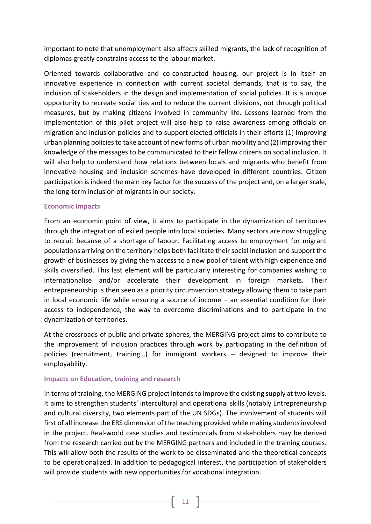important to note that unemployment also affects skilled migrants, the lack of recognition of diplomas greatly constrains access to the labour market.

Oriented towards collaborative and co-constructed housing, our project is in itself an innovative experience in connection with current societal demands, that is to say, the inclusion of stakeholders in the design and implementation of social policies. It is a unique opportunity to recreate social ties and to reduce the current divisions, not through political measures, but by making citizens involved in community life. Lessons learned from the implementation of this pilot project will also help to raise awareness among officials on migration and inclusion policies and to support elected officials in their efforts (1) improving urban planning policies to take account of new forms of urban mobility and (2) improving their knowledge of the messages to be communicated to their fellow citizens on social inclusion. It will also help to understand how relations between locals and migrants who benefit from innovative housing and inclusion schemes have developed in different countries. Citizen participation is indeed the main key factor for the success of the project and, on a larger scale, the long-term inclusion of migrants in our society.

### **Economic impacts**

From an economic point of view, it aims to participate in the dynamization of territories through the integration of exiled people into local societies. Many sectors are now struggling to recruit because of a shortage of labour. Facilitating access to employment for migrant populations arriving on the territory helps both facilitate their social inclusion and support the growth of businesses by giving them access to a new pool of talent with high experience and skills diversified. This last element will be particularly interesting for companies wishing to internationalise and/or accelerate their development in foreign markets. Their entrepreneurship is then seen as a priority circumvention strategy allowing them to take part in local economic life while ensuring a source of income – an essential condition for their access to independence, the way to overcome discriminations and to participate in the dynamization of territories.

At the crossroads of public and private spheres, the MERGING project aims to contribute to the improvement of inclusion practices through work by participating in the definition of policies (recruitment, training…) for immigrant workers – designed to improve their employability.

#### **Impacts on Education, training and research**

In terms of training, the MERGING project intends to improve the existing supply at two levels. It aims to strengthen students' intercultural and operational skills (notably Entrepreneurship and cultural diversity, two elements part of the UN SDGs). The involvement of students will first of all increase the ERS dimension of the teaching provided while making students involved in the project. Real-world case studies and testimonials from stakeholders may be derived from the research carried out by the MERGING partners and included in the training courses. This will allow both the results of the work to be disseminated and the theoretical concepts to be operationalized. In addition to pedagogical interest, the participation of stakeholders will provide students with new opportunities for vocational integration.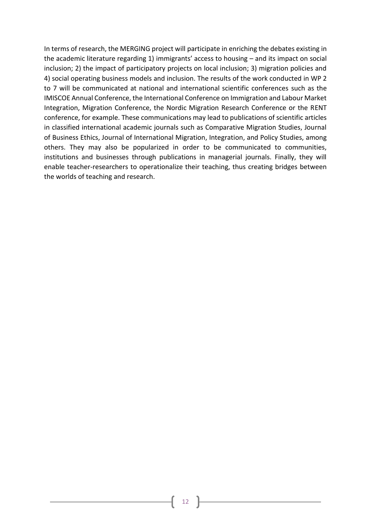In terms of research, the MERGING project will participate in enriching the debates existing in the academic literature regarding 1) immigrants' access to housing – and its impact on social inclusion; 2) the impact of participatory projects on local inclusion; 3) migration policies and 4) social operating business models and inclusion. The results of the work conducted in WP 2 to 7 will be communicated at national and international scientific conferences such as the IMISCOE Annual Conference, the International Conference on Immigration and Labour Market Integration, Migration Conference, the Nordic Migration Research Conference or the RENT conference, for example. These communications may lead to publications of scientific articles in classified international academic journals such as Comparative Migration Studies, Journal of Business Ethics, Journal of International Migration, Integration, and Policy Studies, among others. They may also be popularized in order to be communicated to communities, institutions and businesses through publications in managerial journals. Finally, they will enable teacher-researchers to operationalize their teaching, thus creating bridges between the worlds of teaching and research.